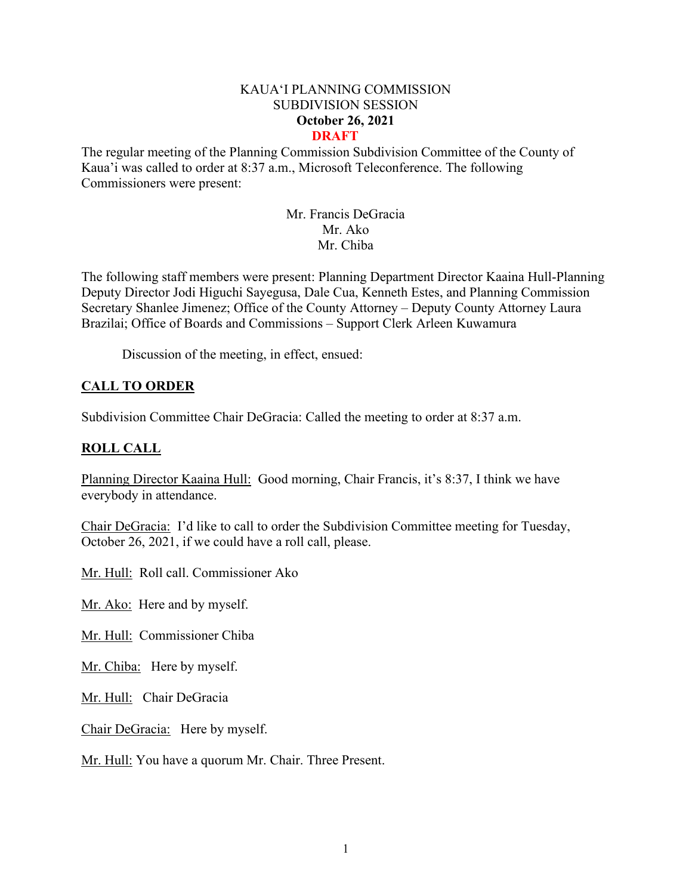#### KAUA'I PLANNING COMMISSION SUBDIVISION SESSION **October 26, 2021 DRAFT**

The regular meeting of the Planning Commission Subdivision Committee of the County of Kaua'i was called to order at 8:37 a.m., Microsoft Teleconference. The following Commissioners were present:

> Mr. Francis DeGracia Mr. Ako Mr. Chiba

The following staff members were present: Planning Department Director Kaaina Hull-Planning Deputy Director Jodi Higuchi Sayegusa, Dale Cua, Kenneth Estes, and Planning Commission Secretary Shanlee Jimenez; Office of the County Attorney – Deputy County Attorney Laura Brazilai; Office of Boards and Commissions – Support Clerk Arleen Kuwamura

Discussion of the meeting, in effect, ensued:

# **CALL TO ORDER**

Subdivision Committee Chair DeGracia: Called the meeting to order at 8:37 a.m.

# **ROLL CALL**

Planning Director Kaaina Hull: Good morning, Chair Francis, it's 8:37, I think we have everybody in attendance.

Chair DeGracia: I'd like to call to order the Subdivision Committee meeting for Tuesday, October 26, 2021, if we could have a roll call, please.

Mr. Hull: Roll call. Commissioner Ako

Mr. Ako: Here and by myself.

Mr. Hull: Commissioner Chiba

Mr. Chiba: Here by myself.

Mr. Hull: Chair DeGracia

Chair DeGracia: Here by myself.

Mr. Hull: You have a quorum Mr. Chair. Three Present.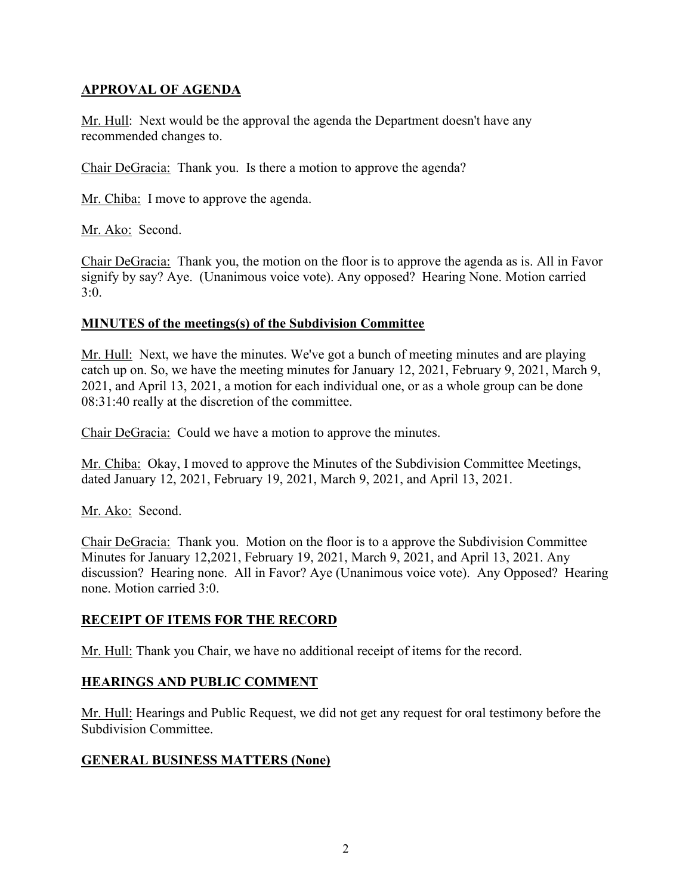# **APPROVAL OF AGENDA**

Mr. Hull: Next would be the approval the agenda the Department doesn't have any recommended changes to.

Chair DeGracia: Thank you. Is there a motion to approve the agenda?

Mr. Chiba: I move to approve the agenda.

Mr. Ako: Second.

Chair DeGracia: Thank you, the motion on the floor is to approve the agenda as is. All in Favor signify by say? Aye. (Unanimous voice vote). Any opposed? Hearing None. Motion carried 3:0.

#### **MINUTES of the meetings(s) of the Subdivision Committee**

Mr. Hull: Next, we have the minutes. We've got a bunch of meeting minutes and are playing catch up on. So, we have the meeting minutes for January 12, 2021, February 9, 2021, March 9, 2021, and April 13, 2021, a motion for each individual one, or as a whole group can be done 08:31:40 really at the discretion of the committee.

Chair DeGracia: Could we have a motion to approve the minutes.

Mr. Chiba: Okay, I moved to approve the Minutes of the Subdivision Committee Meetings, dated January 12, 2021, February 19, 2021, March 9, 2021, and April 13, 2021.

Mr. Ako: Second.

Chair DeGracia: Thank you. Motion on the floor is to a approve the Subdivision Committee Minutes for January 12,2021, February 19, 2021, March 9, 2021, and April 13, 2021. Any discussion? Hearing none. All in Favor? Aye (Unanimous voice vote). Any Opposed? Hearing none. Motion carried 3:0.

## **RECEIPT OF ITEMS FOR THE RECORD**

Mr. Hull: Thank you Chair, we have no additional receipt of items for the record.

## **HEARINGS AND PUBLIC COMMENT**

Mr. Hull: Hearings and Public Request, we did not get any request for oral testimony before the Subdivision Committee.

## **GENERAL BUSINESS MATTERS (None)**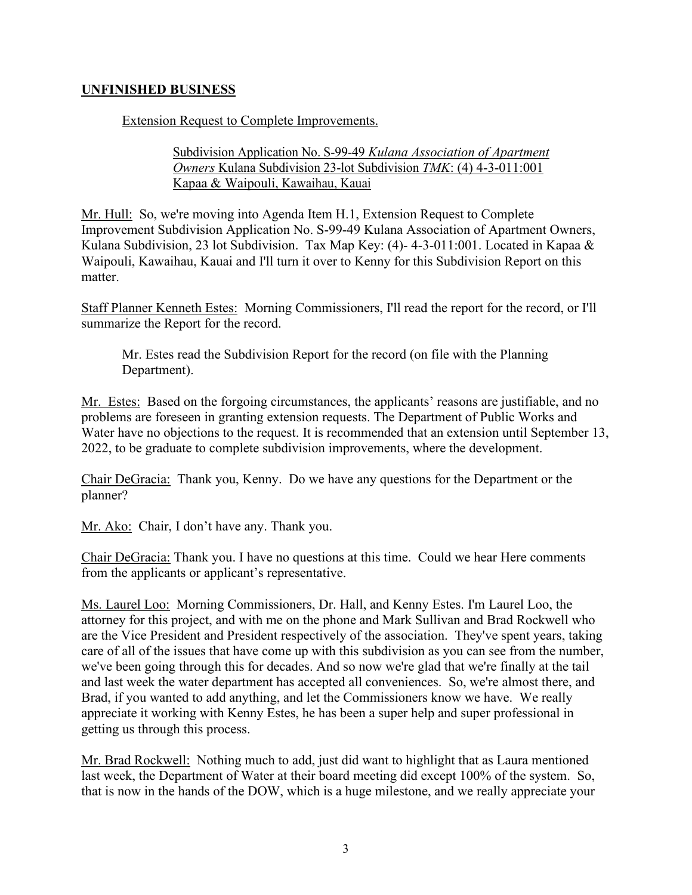## **UNFINISHED BUSINESS**

Extension Request to Complete Improvements.

#### Subdivision Application No. S-99-49 *Kulana Association of Apartment Owners* Kulana Subdivision 23-lot Subdivision *TMK*: (4) 4-3-011:001 Kapaa & Waipouli, Kawaihau, Kauai

Mr. Hull: So, we're moving into Agenda Item H.1, Extension Request to Complete Improvement Subdivision Application No. S-99-49 Kulana Association of Apartment Owners, Kulana Subdivision, 23 lot Subdivision. Tax Map Key: (4)- 4-3-011:001. Located in Kapaa & Waipouli, Kawaihau, Kauai and I'll turn it over to Kenny for this Subdivision Report on this matter.

Staff Planner Kenneth Estes: Morning Commissioners, I'll read the report for the record, or I'll summarize the Report for the record.

Mr. Estes read the Subdivision Report for the record (on file with the Planning Department).

Mr. Estes: Based on the forgoing circumstances, the applicants' reasons are justifiable, and no problems are foreseen in granting extension requests. The Department of Public Works and Water have no objections to the request. It is recommended that an extension until September 13, 2022, to be graduate to complete subdivision improvements, where the development.

Chair DeGracia: Thank you, Kenny. Do we have any questions for the Department or the planner?

Mr. Ako: Chair, I don't have any. Thank you.

Chair DeGracia: Thank you. I have no questions at this time. Could we hear Here comments from the applicants or applicant's representative.

Ms. Laurel Loo: Morning Commissioners, Dr. Hall, and Kenny Estes. I'm Laurel Loo, the attorney for this project, and with me on the phone and Mark Sullivan and Brad Rockwell who are the Vice President and President respectively of the association. They've spent years, taking care of all of the issues that have come up with this subdivision as you can see from the number, we've been going through this for decades. And so now we're glad that we're finally at the tail and last week the water department has accepted all conveniences. So, we're almost there, and Brad, if you wanted to add anything, and let the Commissioners know we have. We really appreciate it working with Kenny Estes, he has been a super help and super professional in getting us through this process.

Mr. Brad Rockwell: Nothing much to add, just did want to highlight that as Laura mentioned last week, the Department of Water at their board meeting did except 100% of the system. So, that is now in the hands of the DOW, which is a huge milestone, and we really appreciate your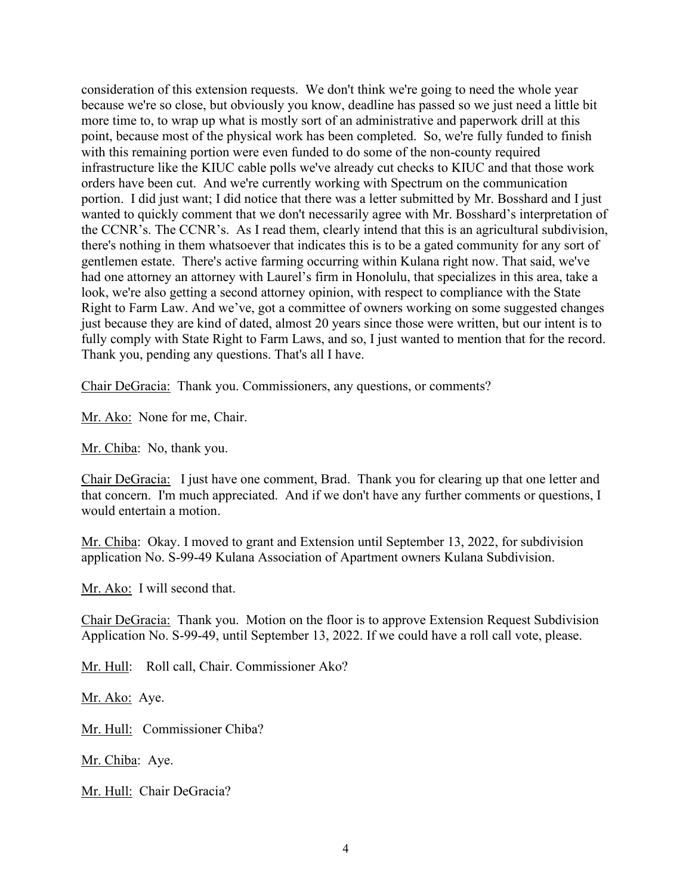consideration of this extension requests. We don't think we're going to need the whole year because we're so close, but obviously you know, deadline has passed so we just need a little bit more time to, to wrap up what is mostly sort of an administrative and paperwork drill at this point, because most of the physical work has been completed. So, we're fully funded to finish with this remaining portion were even funded to do some of the non-county required infrastructure like the KIUC cable polls we've already cut checks to KIUC and that those work orders have been cut. And we're currently working with Spectrum on the communication portion. I did just want; I did notice that there was a letter submitted by Mr. Bosshard and I just wanted to quickly comment that we don't necessarily agree with Mr. Bosshard's interpretation of the CCNR's. The CCNR's. As I read them, clearly intend that this is an agricultural subdivision, there's nothing in them whatsoever that indicates this is to be a gated community for any sort of gentlemen estate. There's active farming occurring within Kulana right now. That said, we've had one attorney an attorney with Laurel's firm in Honolulu, that specializes in this area, take a look, we're also getting a second attorney opinion, with respect to compliance with the State Right to Farm Law. And we've, got a committee of owners working on some suggested changes just because they are kind of dated, almost 20 years since those were written, but our intent is to fully comply with State Right to Farm Laws, and so, I just wanted to mention that for the record. Thank you, pending any questions. That's all I have.

Chair DeGracia: Thank you. Commissioners, any questions, or comments?

Mr. Ako: None for me, Chair.

Mr. Chiba: No, thank you.

Chair DeGracia: I just have one comment, Brad. Thank you for clearing up that one letter and that concern. I'm much appreciated. And if we don't have any further comments or questions, I would entertain a motion.

Mr. Chiba: Okay. I moved to grant and Extension until September 13, 2022, for subdivision application No. S-99-49 Kulana Association of Apartment owners Kulana Subdivision.

Mr. Ako: I will second that.

Chair DeGracia: Thank you. Motion on the floor is to approve Extension Request Subdivision Application No. S-99-49, until September 13, 2022. If we could have a roll call vote, please.

Mr. Hull: Roll call, Chair. Commissioner Ako?

Mr. Ako: Aye.

Mr. Hull: Commissioner Chiba?

Mr. Chiba: Aye.

Mr. Hull: Chair DeGracia?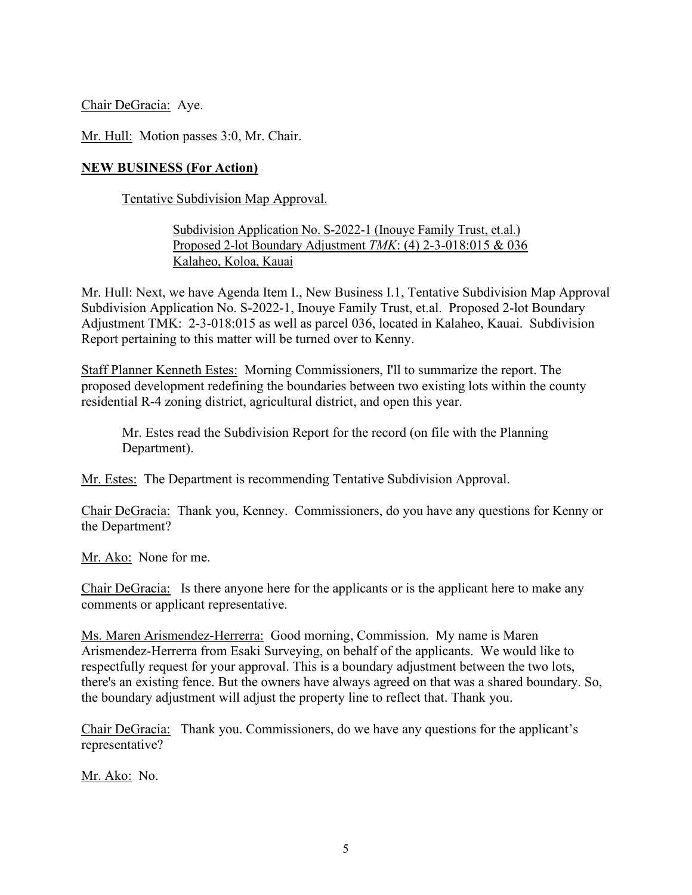Chair DeGracia: Aye.

Mr. Hull: Motion passes 3:0, Mr. Chair.

#### **NEW BUSINESS (For Action)**

Tentative Subdivision Map Approval.

## Subdivision Application No. S-2022-1 (Inouye Family Trust, et.al.) Proposed 2-lot Boundary Adjustment *TMK*: (4) 2-3-018:015 & 036 Kalaheo, Koloa, Kauai

Mr. Hull: Next, we have Agenda Item I., New Business I.1, Tentative Subdivision Map Approval Subdivision Application No. S-2022-1, Inouye Family Trust, et.al. Proposed 2-lot Boundary Adjustment TMK: 2-3-018:015 as well as parcel 036, located in Kalaheo, Kauai. Subdivision Report pertaining to this matter will be turned over to Kenny.

Staff Planner Kenneth Estes: Morning Commissioners, I'll to summarize the report. The proposed development redefining the boundaries between two existing lots within the county residential R-4 zoning district, agricultural district, and open this year.

Mr. Estes read the Subdivision Report for the record (on file with the Planning Department).

Mr. Estes: The Department is recommending Tentative Subdivision Approval.

Chair DeGracia: Thank you, Kenney. Commissioners, do you have any questions for Kenny or the Department?

Mr. Ako: None for me.

Chair DeGracia: Is there anyone here for the applicants or is the applicant here to make any comments or applicant representative.

Ms. Maren Arismendez-Herrerra: Good morning, Commission. My name is Maren Arismendez-Herrerra from Esaki Surveying, on behalf of the applicants. We would like to respectfully request for your approval. This is a boundary adjustment between the two lots, there's an existing fence. But the owners have always agreed on that was a shared boundary. So, the boundary adjustment will adjust the property line to reflect that. Thank you.

Chair DeGracia: Thank you. Commissioners, do we have any questions for the applicant's representative?

Mr. Ako: No.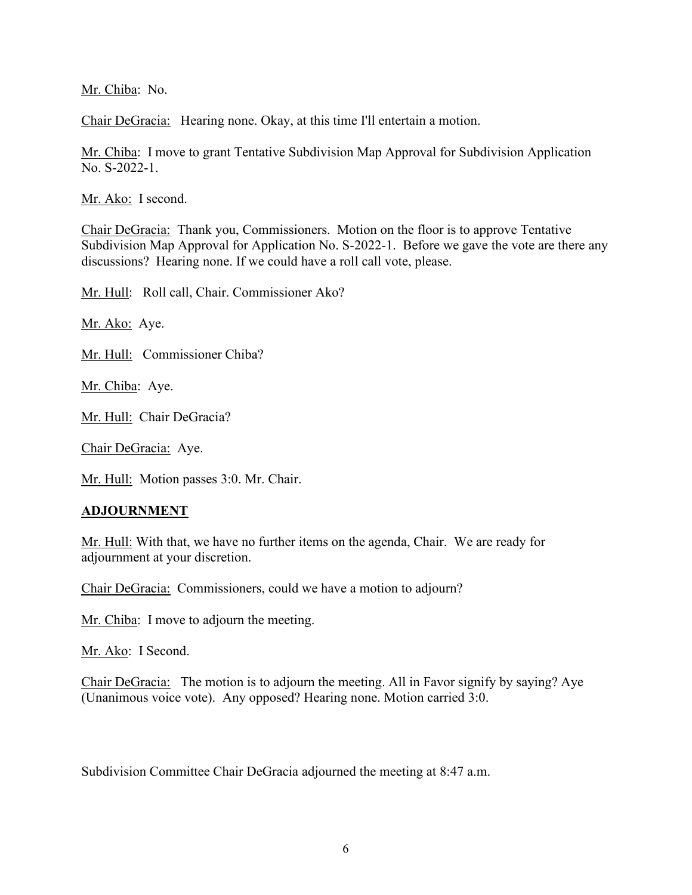Mr. Chiba: No.

Chair DeGracia: Hearing none. Okay, at this time I'll entertain a motion.

Mr. Chiba: I move to grant Tentative Subdivision Map Approval for Subdivision Application No. S-2022-1.

Mr. Ako: I second.

Chair DeGracia: Thank you, Commissioners. Motion on the floor is to approve Tentative Subdivision Map Approval for Application No. S-2022-1. Before we gave the vote are there any discussions? Hearing none. If we could have a roll call vote, please.

Mr. Hull: Roll call, Chair. Commissioner Ako?

Mr. Ako: Aye.

Mr. Hull: Commissioner Chiba?

Mr. Chiba: Aye.

Mr. Hull: Chair DeGracia?

Chair DeGracia: Aye.

Mr. Hull: Motion passes 3:0. Mr. Chair.

#### **ADJOURNMENT**

Mr. Hull: With that, we have no further items on the agenda, Chair. We are ready for adjournment at your discretion.

Chair DeGracia: Commissioners, could we have a motion to adjourn?

Mr. Chiba: I move to adjourn the meeting.

Mr. Ako: I Second.

Chair DeGracia: The motion is to adjourn the meeting. All in Favor signify by saying? Aye (Unanimous voice vote). Any opposed? Hearing none. Motion carried 3:0.

Subdivision Committee Chair DeGracia adjourned the meeting at 8:47 a.m.